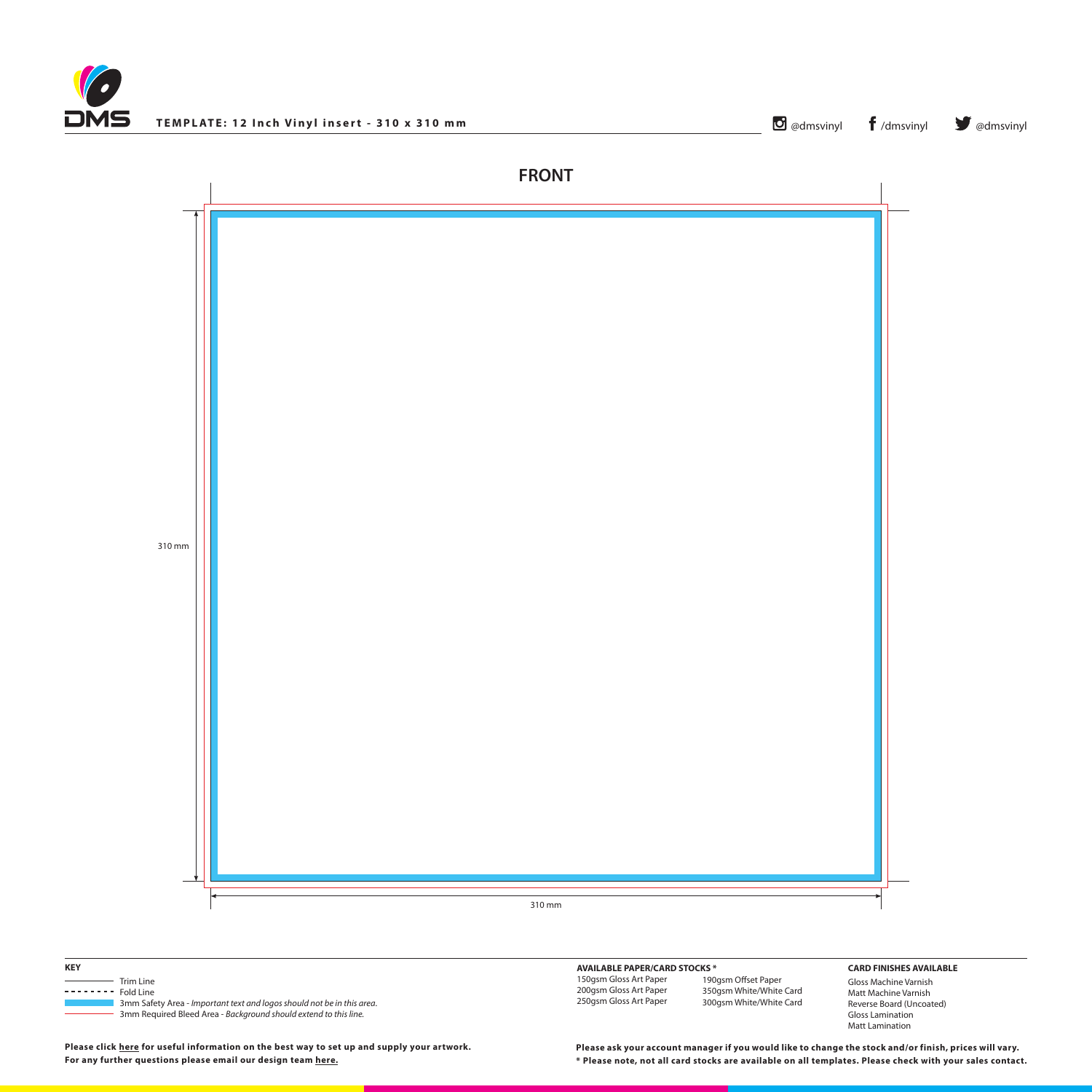



310 mm





**Please click [here](http://www.discmanufacturingservices.com/vinyl/templates#artwork-specifications) for useful information on the best way to set up and supply your artwork.**

| <b>KEY</b>                                                                                                                                                                        | <b>AVAILABLE PAPER/CARD STOCKS *</b>                                       |                                                   |
|-----------------------------------------------------------------------------------------------------------------------------------------------------------------------------------|----------------------------------------------------------------------------|---------------------------------------------------|
| Trim Line<br>Fold Line<br>---------<br>3mm Safety Area - Important text and logos should not be in this area.<br>3mm Required Bleed Area - Background should extend to this line. | 150gsm Gloss Art Paper<br>200gsm Gloss Art Paper<br>250gsm Gloss Art Paper | 190gsm Offset I<br>350gsm White/<br>300gsm White/ |

190gsm Offset Paper 350gsm White/White Card White Card

**For any further questions please email our design team [here](mailto:graphics%40discmanufacturingservices.com?subject=Template%20Enquiry). \* Please note, not all card stocks are available on all templates. Please check with your sales contact. Please ask your account manager if you would like to change the stock and/or finish, prices will vary.**

## **CARD FINISHES AVAILABLE**

Gloss Machine Varnish Matt Machine Varnish Reverse Board (Uncoated) Gloss Lamination Matt Lamination